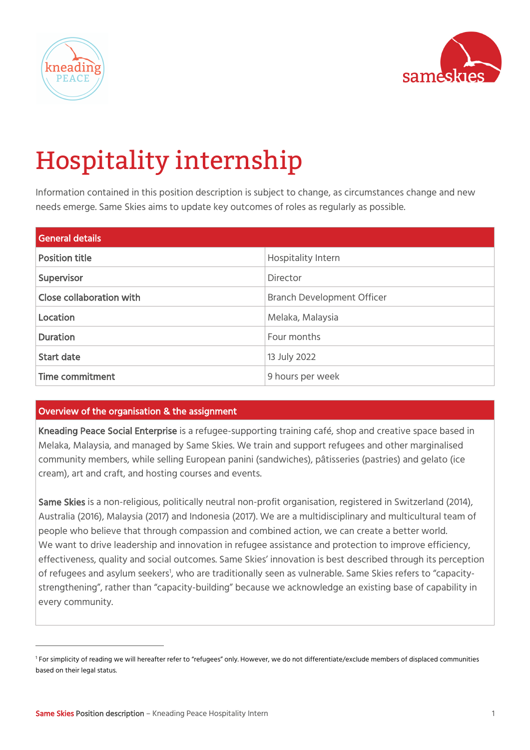



# Hospitality internship

Information contained in this position description is subject to change, as circumstances change and new needs emerge. Same Skies aims to update key outcomes of roles as regularly as possible.

| <b>General details</b>   |                                   |
|--------------------------|-----------------------------------|
| <b>Position title</b>    | Hospitality Intern                |
| Supervisor               | Director                          |
| Close collaboration with | <b>Branch Development Officer</b> |
| Location                 | Melaka, Malaysia                  |
| <b>Duration</b>          | Four months                       |
| <b>Start date</b>        | 13 July 2022                      |
| <b>Time commitment</b>   | 9 hours per week                  |

## Overview of the organisation & the assignment

Kneading Peace Social Enterprise is a refugee-supporting training café, shop and creative space based in Melaka, Malaysia, and managed by Same Skies. We train and support refugees and other marginalised community members, while selling European panini (sandwiches), pâtisseries (pastries) and gelato (ice cream), art and craft, and hosting courses and events.

Same Skies is a non-religious, politically neutral non-profit organisation, registered in Switzerland (2014), Australia (2016), Malaysia (2017) and Indonesia (2017). We are a multidisciplinary and multicultural team of people who believe that through compassion and combined action, we can create a better world. We want to drive leadership and innovation in refugee assistance and protection to improve efficiency, effectiveness, quality and social outcomes. Same Skies' innovation is best described through its perception of refugees and asylum seekers<sup>1</sup>, who are traditionally seen as vulnerable. Same Skies refers to "capacitystrengthening", rather than "capacity-building" because we acknowledge an existing base of capability in every community.

<sup>&</sup>lt;sup>1</sup> For simplicity of reading we will hereafter refer to "refugees" only. However, we do not differentiate/exclude members of displaced communities based on their legal status.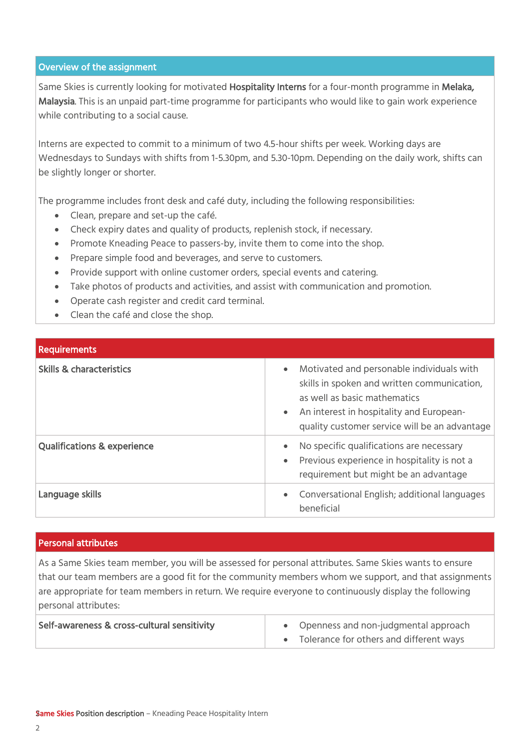### Overview of the assignment

Same Skies is currently looking for motivated Hospitality Interns for a four-month programme in Melaka, Malaysia. This is an unpaid part-time programme for participants who would like to gain work experience while contributing to a social cause.

Interns are expected to commit to a minimum of two 4.5-hour shifts per week. Working days are Wednesdays to Sundays with shifts from 1-5.30pm, and 5.30-10pm. Depending on the daily work, shifts can be slightly longer or shorter.

The programme includes front desk and café duty, including the following responsibilities:

- Clean, prepare and set-up the café.
- Check expiry dates and quality of products, replenish stock, if necessary.
- Promote Kneading Peace to passers-by, invite them to come into the shop.
- Prepare simple food and beverages, and serve to customers.
- Provide support with online customer orders, special events and catering.
- Take photos of products and activities, and assist with communication and promotion.
- Operate cash register and credit card terminal.
- Clean the café and close the shop.

| <b>Requirements</b>                    |                                                                                                                                                                                                                                                 |
|----------------------------------------|-------------------------------------------------------------------------------------------------------------------------------------------------------------------------------------------------------------------------------------------------|
| <b>Skills &amp; characteristics</b>    | Motivated and personable individuals with<br>$\bullet$<br>skills in spoken and written communication,<br>as well as basic mathematics<br>An interest in hospitality and European-<br>$\bullet$<br>quality customer service will be an advantage |
| <b>Qualifications &amp; experience</b> | No specific qualifications are necessary<br>$\bullet$<br>Previous experience in hospitality is not a<br>requirement but might be an advantage                                                                                                   |
| Language skills                        | Conversational English; additional languages<br>$\bullet$<br>beneficial                                                                                                                                                                         |

#### Personal attributes

As a Same Skies team member, you will be assessed for personal attributes. Same Skies wants to ensure that our team members are a good fit for the community members whom we support, and that assignments are appropriate for team members in return. We require everyone to continuously display the following personal attributes:

| Self-awareness & cross-cultural sensitivity | Openness and non-judgmental approach    |
|---------------------------------------------|-----------------------------------------|
|                                             | Tolerance for others and different ways |